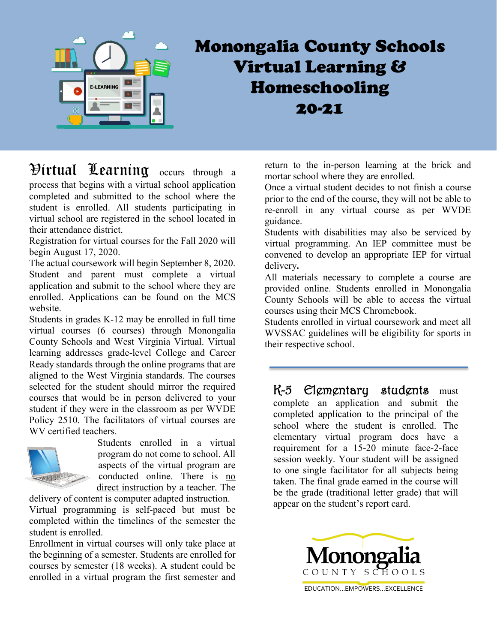

## Monongalia County Schools Virtual Learning & Homeschooling 20-21

## Virtual Learning occurs through a process that begins with a virtual school application completed and submitted to the school where the student is enrolled. All students participating in virtual school are registered in the school located in their attendance district.

Registration for virtual courses for the Fall 2020 will begin August 17, 2020.

The actual coursework will begin September 8, 2020. Student and parent must complete a virtual application and submit to the school where they are enrolled. Applications can be found on the MCS website.

Students in grades K-12 may be enrolled in full time virtual courses (6 courses) through Monongalia County Schools and West Virginia Virtual. Virtual learning addresses grade-level College and Career Ready standards through the online programs that are aligned to the West Virginia standards. The courses selected for the student should mirror the required courses that would be in person delivered to your student if they were in the classroom as per WVDE Policy 2510. The facilitators of virtual courses are WV certified teachers.



Students enrolled in a virtual program do not come to school. All aspects of the virtual program are conducted online. There is no direct instruction by a teacher. The

delivery of content is computer adapted instruction. Virtual programming is self-paced but must be completed within the timelines of the semester the student is enrolled.

Enrollment in virtual courses will only take place at the beginning of a semester. Students are enrolled for courses by semester (18 weeks). A student could be enrolled in a virtual program the first semester and return to the in-person learning at the brick and mortar school where they are enrolled.

Once a virtual student decides to not finish a course prior to the end of the course, they will not be able to re-enroll in any virtual course as per WVDE guidance.

Students with disabilities may also be serviced by virtual programming. An IEP committee must be convened to develop an appropriate IEP for virtual delivery**.**

All materials necessary to complete a course are provided online. Students enrolled in Monongalia County Schools will be able to access the virtual courses using their MCS Chromebook.

Students enrolled in virtual coursework and meet all WVSSAC guidelines will be eligibility for sports in their respective school.

K-5 Elementary students must complete an application and submit the completed application to the principal of the school where the student is enrolled. The elementary virtual program does have a requirement for a 15-20 minute face-2-face session weekly. Your student will be assigned to one single facilitator for all subjects being taken. The final grade earned in the course will be the grade (traditional letter grade) that will appear on the student's report card.